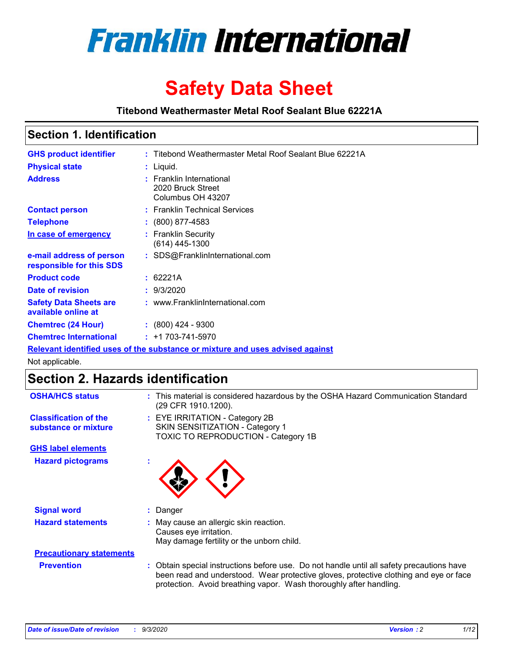

# **Safety Data Sheet**

**Titebond Weathermaster Metal Roof Sealant Blue 62221A**

### **Section 1. Identification**

| <b>GHS product identifier</b>                                                 |  | : Titebond Weathermaster Metal Roof Sealant Blue 62221A            |  |  |
|-------------------------------------------------------------------------------|--|--------------------------------------------------------------------|--|--|
| <b>Physical state</b>                                                         |  | : Liquid.                                                          |  |  |
| <b>Address</b>                                                                |  | : Franklin International<br>2020 Bruck Street<br>Columbus OH 43207 |  |  |
| <b>Contact person</b>                                                         |  | : Franklin Technical Services                                      |  |  |
| <b>Telephone</b>                                                              |  | $\colon$ (800) 877-4583                                            |  |  |
| In case of emergency                                                          |  | : Franklin Security<br>(614) 445-1300                              |  |  |
| e-mail address of person<br>responsible for this SDS                          |  | : SDS@FranklinInternational.com                                    |  |  |
| <b>Product code</b>                                                           |  | : 62221A                                                           |  |  |
| Date of revision                                                              |  | : 9/3/2020                                                         |  |  |
| <b>Safety Data Sheets are</b><br>available online at                          |  | : www.FranklinInternational.com                                    |  |  |
| <b>Chemtrec (24 Hour)</b>                                                     |  | $: (800)$ 424 - 9300                                               |  |  |
| <b>Chemtrec International</b>                                                 |  | $: +1703 - 741 - 5970$                                             |  |  |
| Relevant identified uses of the substance or mixture and uses advised against |  |                                                                    |  |  |

Not applicable.

## **Section 2. Hazards identification**

| <b>OSHA/HCS status</b>                               |    | : This material is considered hazardous by the OSHA Hazard Communication Standard<br>(29 CFR 1910.1200).                                                                                                                                                 |
|------------------------------------------------------|----|----------------------------------------------------------------------------------------------------------------------------------------------------------------------------------------------------------------------------------------------------------|
| <b>Classification of the</b><br>substance or mixture |    | : EYE IRRITATION - Category 2B<br>SKIN SENSITIZATION - Category 1<br>TOXIC TO REPRODUCTION - Category 1B                                                                                                                                                 |
| <b>GHS label elements</b>                            |    |                                                                                                                                                                                                                                                          |
| <b>Hazard pictograms</b>                             | ٠  |                                                                                                                                                                                                                                                          |
| <b>Signal word</b>                                   | ÷. | Danger                                                                                                                                                                                                                                                   |
| <b>Hazard statements</b>                             |    | May cause an allergic skin reaction.<br>Causes eye irritation.<br>May damage fertility or the unborn child.                                                                                                                                              |
| <b>Precautionary statements</b>                      |    |                                                                                                                                                                                                                                                          |
| <b>Prevention</b>                                    |    | : Obtain special instructions before use. Do not handle until all safety precautions have<br>been read and understood. Wear protective gloves, protective clothing and eye or face<br>protection. Avoid breathing vapor. Wash thoroughly after handling. |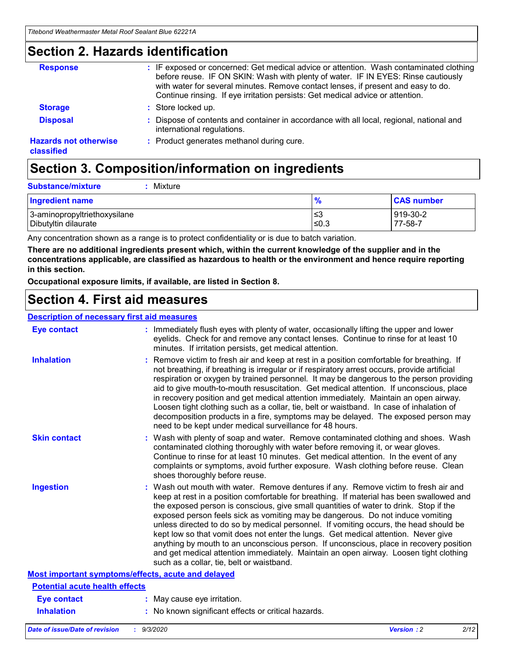### **Section 2. Hazards identification**

| <b>Response</b>                            | : IF exposed or concerned: Get medical advice or attention. Wash contaminated clothing<br>before reuse. IF ON SKIN: Wash with plenty of water. IF IN EYES: Rinse cautiously<br>with water for several minutes. Remove contact lenses, if present and easy to do.<br>Continue rinsing. If eye irritation persists: Get medical advice or attention. |
|--------------------------------------------|----------------------------------------------------------------------------------------------------------------------------------------------------------------------------------------------------------------------------------------------------------------------------------------------------------------------------------------------------|
| <b>Storage</b>                             | : Store locked up.                                                                                                                                                                                                                                                                                                                                 |
| <b>Disposal</b>                            | : Dispose of contents and container in accordance with all local, regional, national and<br>international regulations.                                                                                                                                                                                                                             |
| <b>Hazards not otherwise</b><br>classified | : Product generates methanol during cure.                                                                                                                                                                                                                                                                                                          |

## **Section 3. Composition/information on ingredients**

| <b>Substance/mixture</b> | Mixture |
|--------------------------|---------|
|                          |         |

| <b>Ingredient name</b>       | $\frac{9}{6}$ | <b>CAS number</b> |
|------------------------------|---------------|-------------------|
| 3-aminopropyltriethoxysilane | ≤3            | 919-30-2          |
| Dibutyltin dilaurate         | ∣≤0.3         | 77-58-7           |

Any concentration shown as a range is to protect confidentiality or is due to batch variation.

**There are no additional ingredients present which, within the current knowledge of the supplier and in the concentrations applicable, are classified as hazardous to health or the environment and hence require reporting in this section.**

**Occupational exposure limits, if available, are listed in Section 8.**

### **Section 4. First aid measures**

| <b>Description of necessary first aid measures</b> |                                                                                                                                                                                                                                                                                                                                                                                                                                                                                                                                                                                                                                                                                                                                                                           |
|----------------------------------------------------|---------------------------------------------------------------------------------------------------------------------------------------------------------------------------------------------------------------------------------------------------------------------------------------------------------------------------------------------------------------------------------------------------------------------------------------------------------------------------------------------------------------------------------------------------------------------------------------------------------------------------------------------------------------------------------------------------------------------------------------------------------------------------|
| <b>Eye contact</b>                                 | : Immediately flush eyes with plenty of water, occasionally lifting the upper and lower<br>eyelids. Check for and remove any contact lenses. Continue to rinse for at least 10<br>minutes. If irritation persists, get medical attention.                                                                                                                                                                                                                                                                                                                                                                                                                                                                                                                                 |
| <b>Inhalation</b>                                  | : Remove victim to fresh air and keep at rest in a position comfortable for breathing. If<br>not breathing, if breathing is irregular or if respiratory arrest occurs, provide artificial<br>respiration or oxygen by trained personnel. It may be dangerous to the person providing<br>aid to give mouth-to-mouth resuscitation. Get medical attention. If unconscious, place<br>in recovery position and get medical attention immediately. Maintain an open airway.<br>Loosen tight clothing such as a collar, tie, belt or waistband. In case of inhalation of<br>decomposition products in a fire, symptoms may be delayed. The exposed person may<br>need to be kept under medical surveillance for 48 hours.                                                       |
| <b>Skin contact</b>                                | : Wash with plenty of soap and water. Remove contaminated clothing and shoes. Wash<br>contaminated clothing thoroughly with water before removing it, or wear gloves.<br>Continue to rinse for at least 10 minutes. Get medical attention. In the event of any<br>complaints or symptoms, avoid further exposure. Wash clothing before reuse. Clean<br>shoes thoroughly before reuse.                                                                                                                                                                                                                                                                                                                                                                                     |
| <b>Ingestion</b>                                   | : Wash out mouth with water. Remove dentures if any. Remove victim to fresh air and<br>keep at rest in a position comfortable for breathing. If material has been swallowed and<br>the exposed person is conscious, give small quantities of water to drink. Stop if the<br>exposed person feels sick as vomiting may be dangerous. Do not induce vomiting<br>unless directed to do so by medical personnel. If vomiting occurs, the head should be<br>kept low so that vomit does not enter the lungs. Get medical attention. Never give<br>anything by mouth to an unconscious person. If unconscious, place in recovery position<br>and get medical attention immediately. Maintain an open airway. Loosen tight clothing<br>such as a collar, tie, belt or waistband. |
| Most important symptoms/effects, acute and delayed |                                                                                                                                                                                                                                                                                                                                                                                                                                                                                                                                                                                                                                                                                                                                                                           |
| <b>Potential acute health effects</b>              |                                                                                                                                                                                                                                                                                                                                                                                                                                                                                                                                                                                                                                                                                                                                                                           |
| Eye contact                                        | : May cause eye irritation.                                                                                                                                                                                                                                                                                                                                                                                                                                                                                                                                                                                                                                                                                                                                               |
| <b>Inhalation</b>                                  | : No known significant effects or critical hazards.                                                                                                                                                                                                                                                                                                                                                                                                                                                                                                                                                                                                                                                                                                                       |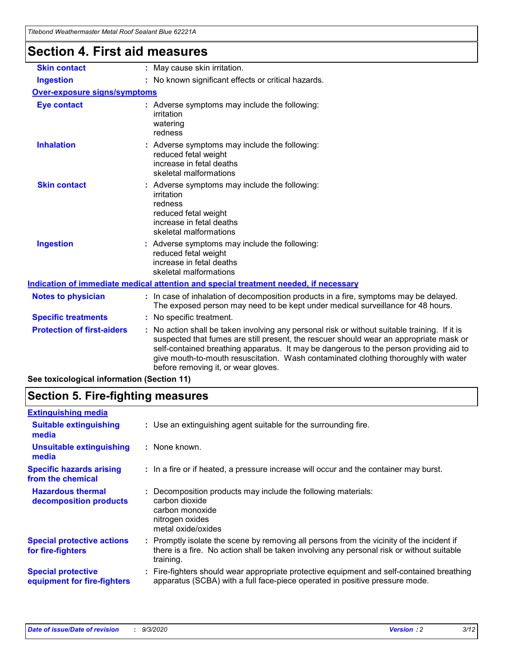| <b>Section 4. First aid measures</b> |                                                                                                                                                                                                                                                                                                                                                                                                               |
|--------------------------------------|---------------------------------------------------------------------------------------------------------------------------------------------------------------------------------------------------------------------------------------------------------------------------------------------------------------------------------------------------------------------------------------------------------------|
| <b>Skin contact</b>                  | : May cause skin irritation.                                                                                                                                                                                                                                                                                                                                                                                  |
| <b>Ingestion</b>                     | : No known significant effects or critical hazards.                                                                                                                                                                                                                                                                                                                                                           |
| <b>Over-exposure signs/symptoms</b>  |                                                                                                                                                                                                                                                                                                                                                                                                               |
| <b>Eye contact</b>                   | : Adverse symptoms may include the following:<br>irritation<br>watering<br>redness                                                                                                                                                                                                                                                                                                                            |
| <b>Inhalation</b>                    | : Adverse symptoms may include the following:<br>reduced fetal weight<br>increase in fetal deaths<br>skeletal malformations                                                                                                                                                                                                                                                                                   |
| <b>Skin contact</b>                  | : Adverse symptoms may include the following:<br>irritation<br>redness<br>reduced fetal weight<br>increase in fetal deaths<br>skeletal malformations                                                                                                                                                                                                                                                          |
| <b>Ingestion</b>                     | : Adverse symptoms may include the following:<br>reduced fetal weight<br>increase in fetal deaths<br>skeletal malformations                                                                                                                                                                                                                                                                                   |
|                                      | Indication of immediate medical attention and special treatment needed, if necessary                                                                                                                                                                                                                                                                                                                          |
| <b>Notes to physician</b>            | : In case of inhalation of decomposition products in a fire, symptoms may be delayed.<br>The exposed person may need to be kept under medical surveillance for 48 hours.                                                                                                                                                                                                                                      |
| <b>Specific treatments</b>           | : No specific treatment.                                                                                                                                                                                                                                                                                                                                                                                      |
| <b>Protection of first-aiders</b>    | No action shall be taken involving any personal risk or without suitable training. If it is<br>suspected that fumes are still present, the rescuer should wear an appropriate mask or<br>self-contained breathing apparatus. It may be dangerous to the person providing aid to<br>give mouth-to-mouth resuscitation. Wash contaminated clothing thoroughly with water<br>before removing it, or wear gloves. |

**See toxicological information (Section 11)**

## **Section 5. Fire-fighting measures**

| <b>Extinguishing media</b>                               |                                                                                                                                                                                                     |
|----------------------------------------------------------|-----------------------------------------------------------------------------------------------------------------------------------------------------------------------------------------------------|
| <b>Suitable extinguishing</b><br>media                   | : Use an extinguishing agent suitable for the surrounding fire.                                                                                                                                     |
| <b>Unsuitable extinguishing</b><br>media                 | $:$ None known.                                                                                                                                                                                     |
| <b>Specific hazards arising</b><br>from the chemical     | : In a fire or if heated, a pressure increase will occur and the container may burst.                                                                                                               |
| <b>Hazardous thermal</b><br>decomposition products       | Decomposition products may include the following materials:<br>carbon dioxide<br>carbon monoxide<br>nitrogen oxides<br>metal oxide/oxides                                                           |
| <b>Special protective actions</b><br>for fire-fighters   | : Promptly isolate the scene by removing all persons from the vicinity of the incident if<br>there is a fire. No action shall be taken involving any personal risk or without suitable<br>training. |
| <b>Special protective</b><br>equipment for fire-fighters | Fire-fighters should wear appropriate protective equipment and self-contained breathing<br>apparatus (SCBA) with a full face-piece operated in positive pressure mode.                              |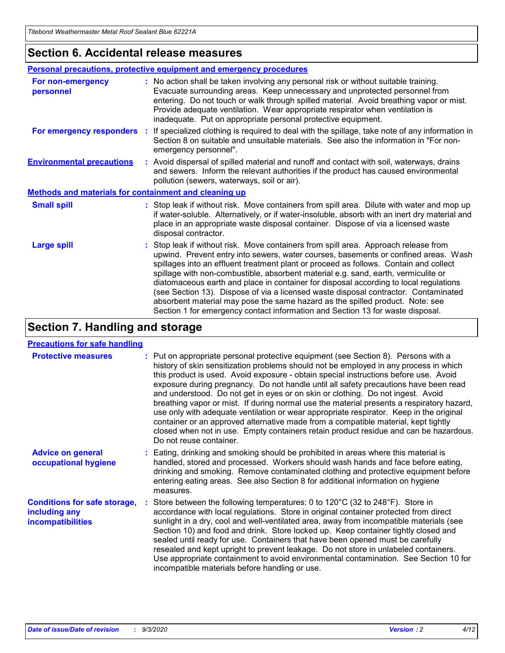### **Section 6. Accidental release measures**

|                                                              | Personal precautions, protective equipment and emergency procedures                                                                                                                                                                                                                                                                                                                                                                                                                                                                                                                                                                                                                                          |
|--------------------------------------------------------------|--------------------------------------------------------------------------------------------------------------------------------------------------------------------------------------------------------------------------------------------------------------------------------------------------------------------------------------------------------------------------------------------------------------------------------------------------------------------------------------------------------------------------------------------------------------------------------------------------------------------------------------------------------------------------------------------------------------|
| For non-emergency<br>personnel                               | : No action shall be taken involving any personal risk or without suitable training.<br>Evacuate surrounding areas. Keep unnecessary and unprotected personnel from<br>entering. Do not touch or walk through spilled material. Avoid breathing vapor or mist.<br>Provide adequate ventilation. Wear appropriate respirator when ventilation is<br>inadequate. Put on appropriate personal protective equipment.                                                                                                                                                                                                                                                                                             |
| For emergency responders                                     | : If specialized clothing is required to deal with the spillage, take note of any information in<br>Section 8 on suitable and unsuitable materials. See also the information in "For non-<br>emergency personnel".                                                                                                                                                                                                                                                                                                                                                                                                                                                                                           |
| <b>Environmental precautions</b>                             | : Avoid dispersal of spilled material and runoff and contact with soil, waterways, drains<br>and sewers. Inform the relevant authorities if the product has caused environmental<br>pollution (sewers, waterways, soil or air).                                                                                                                                                                                                                                                                                                                                                                                                                                                                              |
| <b>Methods and materials for containment and cleaning up</b> |                                                                                                                                                                                                                                                                                                                                                                                                                                                                                                                                                                                                                                                                                                              |
| <b>Small spill</b>                                           | : Stop leak if without risk. Move containers from spill area. Dilute with water and mop up<br>if water-soluble. Alternatively, or if water-insoluble, absorb with an inert dry material and<br>place in an appropriate waste disposal container. Dispose of via a licensed waste<br>disposal contractor.                                                                                                                                                                                                                                                                                                                                                                                                     |
| <b>Large spill</b>                                           | : Stop leak if without risk. Move containers from spill area. Approach release from<br>upwind. Prevent entry into sewers, water courses, basements or confined areas. Wash<br>spillages into an effluent treatment plant or proceed as follows. Contain and collect<br>spillage with non-combustible, absorbent material e.g. sand, earth, vermiculite or<br>diatomaceous earth and place in container for disposal according to local regulations<br>(see Section 13). Dispose of via a licensed waste disposal contractor. Contaminated<br>absorbent material may pose the same hazard as the spilled product. Note: see<br>Section 1 for emergency contact information and Section 13 for waste disposal. |

## **Section 7. Handling and storage**

#### **Precautions for safe handling**

| <b>Protective measures</b>                                                       | : Put on appropriate personal protective equipment (see Section 8). Persons with a<br>history of skin sensitization problems should not be employed in any process in which<br>this product is used. Avoid exposure - obtain special instructions before use. Avoid<br>exposure during pregnancy. Do not handle until all safety precautions have been read<br>and understood. Do not get in eyes or on skin or clothing. Do not ingest. Avoid<br>breathing vapor or mist. If during normal use the material presents a respiratory hazard,<br>use only with adequate ventilation or wear appropriate respirator. Keep in the original<br>container or an approved alternative made from a compatible material, kept tightly<br>closed when not in use. Empty containers retain product residue and can be hazardous.<br>Do not reuse container. |
|----------------------------------------------------------------------------------|--------------------------------------------------------------------------------------------------------------------------------------------------------------------------------------------------------------------------------------------------------------------------------------------------------------------------------------------------------------------------------------------------------------------------------------------------------------------------------------------------------------------------------------------------------------------------------------------------------------------------------------------------------------------------------------------------------------------------------------------------------------------------------------------------------------------------------------------------|
| <b>Advice on general</b><br>occupational hygiene                                 | : Eating, drinking and smoking should be prohibited in areas where this material is<br>handled, stored and processed. Workers should wash hands and face before eating,<br>drinking and smoking. Remove contaminated clothing and protective equipment before<br>entering eating areas. See also Section 8 for additional information on hygiene<br>measures.                                                                                                                                                                                                                                                                                                                                                                                                                                                                                    |
| <b>Conditions for safe storage,</b><br>including any<br><i>incompatibilities</i> | Store between the following temperatures: 0 to $120^{\circ}$ C (32 to $248^{\circ}$ F). Store in<br>accordance with local regulations. Store in original container protected from direct<br>sunlight in a dry, cool and well-ventilated area, away from incompatible materials (see<br>Section 10) and food and drink. Store locked up. Keep container tightly closed and<br>sealed until ready for use. Containers that have been opened must be carefully<br>resealed and kept upright to prevent leakage. Do not store in unlabeled containers.<br>Use appropriate containment to avoid environmental contamination. See Section 10 for<br>incompatible materials before handling or use.                                                                                                                                                     |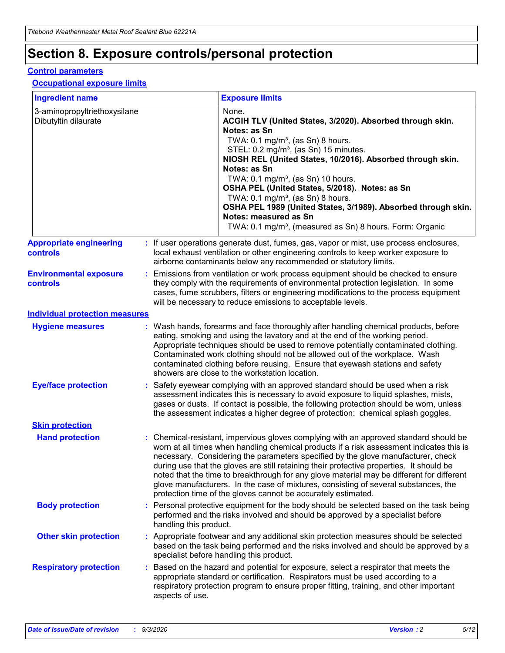## **Section 8. Exposure controls/personal protection**

#### **Control parameters**

#### **Occupational exposure limits**

| <b>Ingredient name</b>                               |    |                        | <b>Exposure limits</b>                                                                                                                                                                                                                                                                                                                                                                                                                                                                                                                                                                                                 |
|------------------------------------------------------|----|------------------------|------------------------------------------------------------------------------------------------------------------------------------------------------------------------------------------------------------------------------------------------------------------------------------------------------------------------------------------------------------------------------------------------------------------------------------------------------------------------------------------------------------------------------------------------------------------------------------------------------------------------|
| 3-aminopropyltriethoxysilane<br>Dibutyltin dilaurate |    |                        | None.<br>ACGIH TLV (United States, 3/2020). Absorbed through skin.<br>Notes: as Sn<br>TWA: 0.1 mg/m <sup>3</sup> , (as Sn) 8 hours.<br>STEL: 0.2 mg/m <sup>3</sup> , (as Sn) 15 minutes.<br>NIOSH REL (United States, 10/2016). Absorbed through skin.<br>Notes: as Sn<br>TWA: 0.1 mg/m <sup>3</sup> , (as Sn) 10 hours.<br>OSHA PEL (United States, 5/2018). Notes: as Sn<br>TWA: $0.1 \text{ mg/m}^3$ , (as Sn) 8 hours.<br>OSHA PEL 1989 (United States, 3/1989). Absorbed through skin.<br>Notes: measured as Sn<br>TWA: 0.1 mg/m <sup>3</sup> , (measured as Sn) 8 hours. Form: Organic                           |
| <b>Appropriate engineering</b><br>controls           |    |                        | : If user operations generate dust, fumes, gas, vapor or mist, use process enclosures,<br>local exhaust ventilation or other engineering controls to keep worker exposure to<br>airborne contaminants below any recommended or statutory limits.                                                                                                                                                                                                                                                                                                                                                                       |
| <b>Environmental exposure</b><br><b>controls</b>     |    |                        | Emissions from ventilation or work process equipment should be checked to ensure<br>they comply with the requirements of environmental protection legislation. In some<br>cases, fume scrubbers, filters or engineering modifications to the process equipment<br>will be necessary to reduce emissions to acceptable levels.                                                                                                                                                                                                                                                                                          |
| <b>Individual protection measures</b>                |    |                        |                                                                                                                                                                                                                                                                                                                                                                                                                                                                                                                                                                                                                        |
| <b>Hygiene measures</b>                              |    |                        | : Wash hands, forearms and face thoroughly after handling chemical products, before<br>eating, smoking and using the lavatory and at the end of the working period.<br>Appropriate techniques should be used to remove potentially contaminated clothing.<br>Contaminated work clothing should not be allowed out of the workplace. Wash<br>contaminated clothing before reusing. Ensure that eyewash stations and safety<br>showers are close to the workstation location.                                                                                                                                            |
| <b>Eye/face protection</b>                           |    |                        | : Safety eyewear complying with an approved standard should be used when a risk<br>assessment indicates this is necessary to avoid exposure to liquid splashes, mists,<br>gases or dusts. If contact is possible, the following protection should be worn, unless<br>the assessment indicates a higher degree of protection: chemical splash goggles.                                                                                                                                                                                                                                                                  |
| <b>Skin protection</b>                               |    |                        |                                                                                                                                                                                                                                                                                                                                                                                                                                                                                                                                                                                                                        |
| <b>Hand protection</b>                               |    |                        | : Chemical-resistant, impervious gloves complying with an approved standard should be<br>worn at all times when handling chemical products if a risk assessment indicates this is<br>necessary. Considering the parameters specified by the glove manufacturer, check<br>during use that the gloves are still retaining their protective properties. It should be<br>noted that the time to breakthrough for any glove material may be different for different<br>glove manufacturers. In the case of mixtures, consisting of several substances, the<br>protection time of the gloves cannot be accurately estimated. |
| <b>Body protection</b>                               |    | handling this product. | Personal protective equipment for the body should be selected based on the task being<br>performed and the risks involved and should be approved by a specialist before                                                                                                                                                                                                                                                                                                                                                                                                                                                |
| <b>Other skin protection</b>                         |    |                        | : Appropriate footwear and any additional skin protection measures should be selected<br>based on the task being performed and the risks involved and should be approved by a<br>specialist before handling this product.                                                                                                                                                                                                                                                                                                                                                                                              |
| <b>Respiratory protection</b>                        | ÷. | aspects of use.        | Based on the hazard and potential for exposure, select a respirator that meets the<br>appropriate standard or certification. Respirators must be used according to a<br>respiratory protection program to ensure proper fitting, training, and other important                                                                                                                                                                                                                                                                                                                                                         |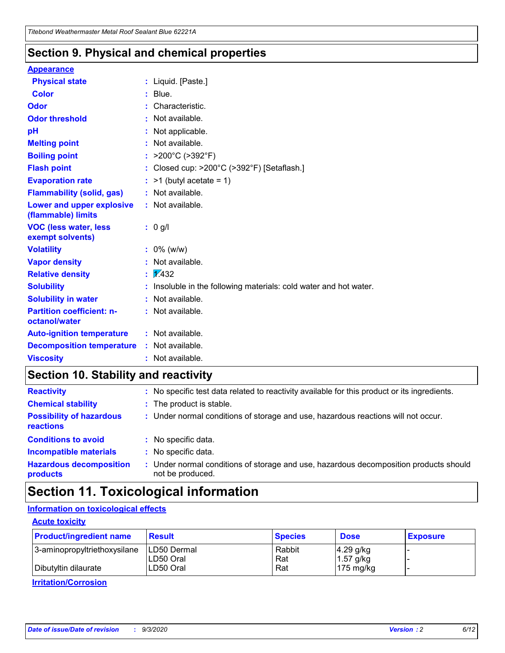### **Section 9. Physical and chemical properties**

#### **Appearance**

| <b>Physical state</b>                             |   | : Liquid. [Paste.]                                              |
|---------------------------------------------------|---|-----------------------------------------------------------------|
| <b>Color</b>                                      |   | Blue.                                                           |
| Odor                                              |   | Characteristic.                                                 |
| <b>Odor threshold</b>                             | ÷ | Not available.                                                  |
| рH                                                |   | Not applicable.                                                 |
| <b>Melting point</b>                              |   | : Not available.                                                |
| <b>Boiling point</b>                              |   | >200°C (>392°F)                                                 |
| <b>Flash point</b>                                |   | Closed cup: >200°C (>392°F) [Setaflash.]                        |
| <b>Evaporation rate</b>                           |   | $:$ >1 (butyl acetate = 1)                                      |
| <b>Flammability (solid, gas)</b>                  |   | : Not available.                                                |
| Lower and upper explosive<br>(flammable) limits   |   | : Not available.                                                |
| <b>VOC (less water, less)</b><br>exempt solvents) |   | : 0 g/l                                                         |
| <b>Volatility</b>                                 |   | $: 0\%$ (w/w)                                                   |
| <b>Vapor density</b>                              |   | Not available.                                                  |
| <b>Relative density</b>                           |   | $\mathbf{1}$ $\mathbf{\sqrt{432}}$                              |
| <b>Solubility</b>                                 |   | Insoluble in the following materials: cold water and hot water. |
| <b>Solubility in water</b>                        |   | Not available.                                                  |
| <b>Partition coefficient: n-</b><br>octanol/water |   | $:$ Not available.                                              |
| <b>Auto-ignition temperature</b>                  |   | : Not available.                                                |
| <b>Decomposition temperature</b>                  |   | : Not available.                                                |
| <b>Viscosity</b>                                  |   | $:$ Not available.                                              |

### **Section 10. Stability and reactivity**

| <b>Reactivity</b>                            |    | : No specific test data related to reactivity available for this product or its ingredients.            |
|----------------------------------------------|----|---------------------------------------------------------------------------------------------------------|
| <b>Chemical stability</b>                    |    | : The product is stable.                                                                                |
| <b>Possibility of hazardous</b><br>reactions |    | : Under normal conditions of storage and use, hazardous reactions will not occur.                       |
| <b>Conditions to avoid</b>                   |    | : No specific data.                                                                                     |
| <b>Incompatible materials</b>                | ٠. | No specific data.                                                                                       |
| <b>Hazardous decomposition</b><br>products   | ÷. | Under normal conditions of storage and use, hazardous decomposition products should<br>not be produced. |

## **Section 11. Toxicological information**

#### **Information on toxicological effects**

#### **Acute toxicity**

| <b>Product/ingredient name</b> | <b>Result</b>           | <b>Species</b> | <b>Dose</b>                | <b>Exposure</b> |
|--------------------------------|-------------------------|----------------|----------------------------|-----------------|
| 3-aminopropyltriethoxysilane   | <b>ILD50 Dermal</b>     | Rabbit         | 4.29 g/kg                  |                 |
| Dibutyltin dilaurate           | ILD50 Oral<br>LD50 Oral | Rat<br>Rat     | $1.57$ g/kg<br>175 $mg/kg$ |                 |
|                                |                         |                |                            |                 |

**Irritation/Corrosion**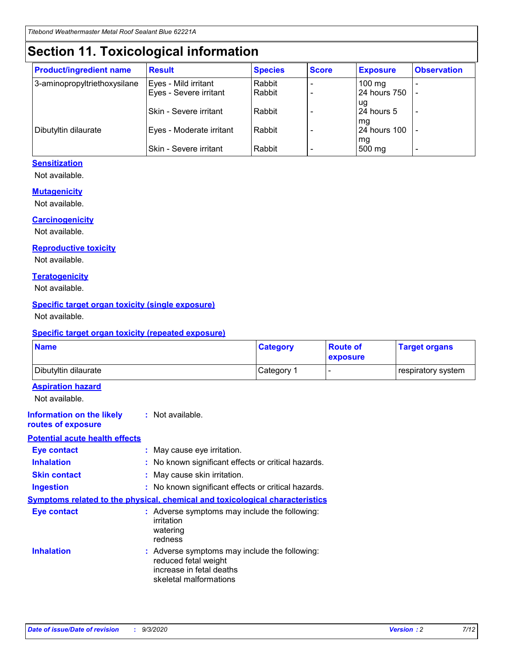## **Section 11. Toxicological information**

| <b>Product/ingredient name</b> | <b>Result</b>            | <b>Species</b> | <b>Score</b> | <b>Exposure</b>    | <b>Observation</b> |
|--------------------------------|--------------------------|----------------|--------------|--------------------|--------------------|
| 3-aminopropyltriethoxysilane   | Eyes - Mild irritant     | Rabbit         |              | $100$ mg           |                    |
|                                | Eyes - Severe irritant   | Rabbit         |              | 24 hours 750       |                    |
|                                |                          |                |              | ug                 |                    |
|                                | Skin - Severe irritant   | Rabbit         |              | 24 hours 5         | -                  |
| Dibutyltin dilaurate           | Eyes - Moderate irritant | Rabbit         |              | mg<br>24 hours 100 |                    |
|                                |                          |                |              | mg                 |                    |
|                                | Skin - Severe irritant   | Rabbit         |              | 500 mg             | -                  |

#### **Sensitization**

Not available.

#### **Mutagenicity**

Not available.

#### **Carcinogenicity**

Not available.

#### **Reproductive toxicity**

Not available.

#### **Teratogenicity**

Not available.

#### **Specific target organ toxicity (single exposure)**

Not available.

#### **Specific target organ toxicity (repeated exposure)**

| <b>Name</b>                                                                         |                                                                            | <b>Category</b>                                     | <b>Route of</b><br>exposure | <b>Target organs</b> |  |  |
|-------------------------------------------------------------------------------------|----------------------------------------------------------------------------|-----------------------------------------------------|-----------------------------|----------------------|--|--|
| Dibutyltin dilaurate                                                                |                                                                            | Category 1                                          |                             | respiratory system   |  |  |
| <b>Aspiration hazard</b><br>Not available.                                          |                                                                            |                                                     |                             |                      |  |  |
| <b>Information on the likely</b><br>routes of exposure                              | : Not available.                                                           |                                                     |                             |                      |  |  |
| <b>Potential acute health effects</b>                                               |                                                                            |                                                     |                             |                      |  |  |
| <b>Eye contact</b>                                                                  | : May cause eye irritation.                                                |                                                     |                             |                      |  |  |
| <b>Inhalation</b>                                                                   |                                                                            | : No known significant effects or critical hazards. |                             |                      |  |  |
| <b>Skin contact</b>                                                                 |                                                                            | : May cause skin irritation.                        |                             |                      |  |  |
| <b>Ingestion</b>                                                                    |                                                                            | : No known significant effects or critical hazards. |                             |                      |  |  |
| <b>Symptoms related to the physical, chemical and toxicological characteristics</b> |                                                                            |                                                     |                             |                      |  |  |
| <b>Eye contact</b>                                                                  | irritation<br>watering<br>redness                                          | : Adverse symptoms may include the following:       |                             |                      |  |  |
| <b>Inhalation</b>                                                                   | reduced fetal weight<br>increase in fetal deaths<br>skeletal malformations | : Adverse symptoms may include the following:       |                             |                      |  |  |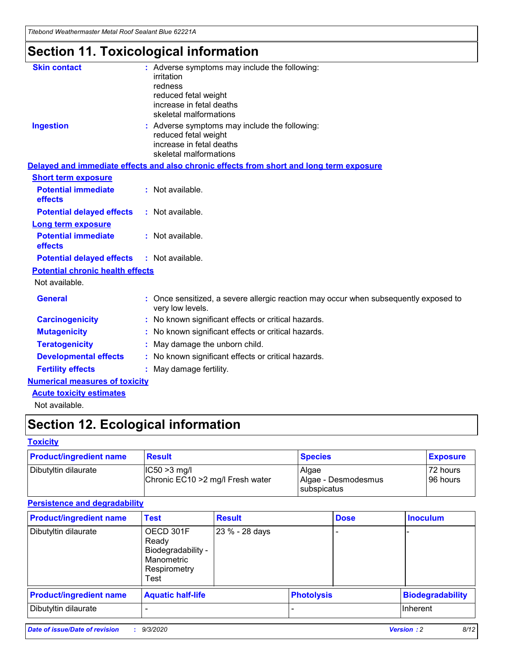*Titebond Weathermaster Metal Roof Sealant Blue 62221A*

## **Section 11. Toxicological information**

| <b>Skin contact</b>                     | irritation<br>redness<br>reduced fetal weight<br>increase in fetal deaths<br>skeletal malformations | : Adverse symptoms may include the following:                                            |
|-----------------------------------------|-----------------------------------------------------------------------------------------------------|------------------------------------------------------------------------------------------|
| <b>Ingestion</b>                        | reduced fetal weight<br>increase in fetal deaths<br>skeletal malformations                          | : Adverse symptoms may include the following:                                            |
|                                         |                                                                                                     | Delayed and immediate effects and also chronic effects from short and long term exposure |
| <b>Short term exposure</b>              |                                                                                                     |                                                                                          |
| <b>Potential immediate</b><br>effects   | : Not available.                                                                                    |                                                                                          |
| <b>Potential delayed effects</b>        | : Not available.                                                                                    |                                                                                          |
| <b>Long term exposure</b>               |                                                                                                     |                                                                                          |
| <b>Potential immediate</b><br>effects   | : Not available.                                                                                    |                                                                                          |
| <b>Potential delayed effects</b>        | : Not available.                                                                                    |                                                                                          |
| <b>Potential chronic health effects</b> |                                                                                                     |                                                                                          |
| Not available.                          |                                                                                                     |                                                                                          |
| <b>General</b>                          | very low levels.                                                                                    | : Once sensitized, a severe allergic reaction may occur when subsequently exposed to     |
| <b>Carcinogenicity</b>                  |                                                                                                     | : No known significant effects or critical hazards.                                      |
| <b>Mutagenicity</b>                     |                                                                                                     | No known significant effects or critical hazards.                                        |
| <b>Teratogenicity</b>                   |                                                                                                     | May damage the unborn child.                                                             |
| <b>Developmental effects</b>            |                                                                                                     | : No known significant effects or critical hazards.                                      |
| <b>Fertility effects</b>                | May damage fertility.                                                                               |                                                                                          |
| <b>Numerical measures of toxicity</b>   |                                                                                                     |                                                                                          |
| <b>Acute toxicity estimates</b>         |                                                                                                     |                                                                                          |
| Not available.                          |                                                                                                     |                                                                                          |

## **Section 12. Ecological information**

#### **Toxicity**

| <b>Product/ingredient name</b> | <b>Result</b>                                       | <b>Species</b>               | <b>Exposure</b>       |
|--------------------------------|-----------------------------------------------------|------------------------------|-----------------------|
| Dibutyltin dilaurate           | $ IC50>3$ mg/l<br>Chronic EC10 > 2 mg/l Fresh water | Algae<br>Algae - Desmodesmus | 72 hours<br>196 hours |
|                                |                                                     | subspicatus                  |                       |

#### **Persistence and degradability**

| <b>Product/ingredient name</b> | <b>Test</b>                                                                    | <b>Result</b>  |                   | <b>Dose</b> | <b>Inoculum</b>         |
|--------------------------------|--------------------------------------------------------------------------------|----------------|-------------------|-------------|-------------------------|
| Dibutyltin dilaurate           | OECD 301F<br>Ready<br>Biodegradability -<br>Manometric<br>Respirometry<br>Test | 23 % - 28 days |                   |             |                         |
| <b>Product/ingredient name</b> | <b>Aquatic half-life</b>                                                       |                | <b>Photolysis</b> |             | <b>Biodegradability</b> |
| Dibutyltin dilaurate           |                                                                                |                |                   |             | <b>Inherent</b>         |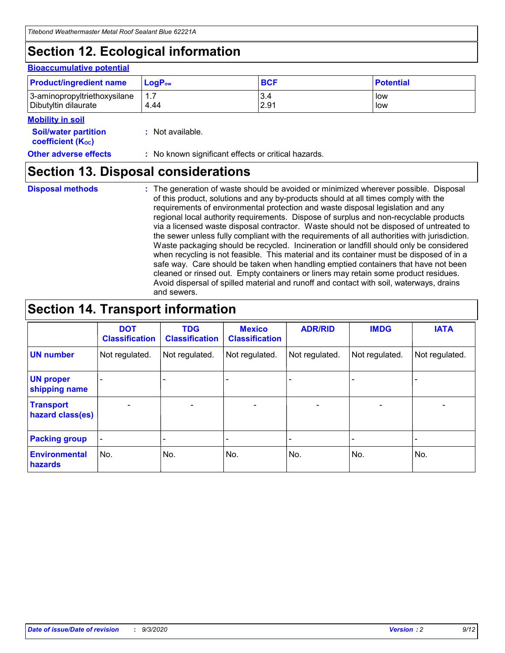## **Section 12. Ecological information**

#### **Bioaccumulative potential**

| <b>Product/ingredient name</b> | $\mathsf{LogP}_\mathsf{ow}$ | <b>BCF</b> | <b>Potential</b> |
|--------------------------------|-----------------------------|------------|------------------|
| 3-aminopropyltriethoxysilane   | $1.\overline{7}$            | 3.4        | low              |
| Dibutyltin dilaurate           | 4.44                        | 2.91       | low              |

#### **Mobility in soil**

| IVIUWIIILY III JUII                                     |                                                     |
|---------------------------------------------------------|-----------------------------------------------------|
| <b>Soil/water partition</b><br><b>coefficient (Koc)</b> | : Not available.                                    |
| <b>Other adverse effects</b>                            | : No known significant effects or critical hazards. |

### **Section 13. Disposal considerations**

**Disposal methods :**

The generation of waste should be avoided or minimized wherever possible. Disposal of this product, solutions and any by-products should at all times comply with the requirements of environmental protection and waste disposal legislation and any regional local authority requirements. Dispose of surplus and non-recyclable products via a licensed waste disposal contractor. Waste should not be disposed of untreated to the sewer unless fully compliant with the requirements of all authorities with jurisdiction. Waste packaging should be recycled. Incineration or landfill should only be considered when recycling is not feasible. This material and its container must be disposed of in a safe way. Care should be taken when handling emptied containers that have not been cleaned or rinsed out. Empty containers or liners may retain some product residues. Avoid dispersal of spilled material and runoff and contact with soil, waterways, drains and sewers.

### **Section 14. Transport information**

|                                      | <b>DOT</b><br><b>Classification</b> | <b>TDG</b><br><b>Classification</b> | <b>Mexico</b><br><b>Classification</b> | <b>ADR/RID</b>           | <b>IMDG</b>              | <b>IATA</b>    |
|--------------------------------------|-------------------------------------|-------------------------------------|----------------------------------------|--------------------------|--------------------------|----------------|
| <b>UN number</b>                     | Not regulated.                      | Not regulated.                      | Not regulated.                         | Not regulated.           | Not regulated.           | Not regulated. |
| <b>UN proper</b><br>shipping name    |                                     |                                     |                                        |                          |                          |                |
| <b>Transport</b><br>hazard class(es) | $\blacksquare$                      | $\overline{\phantom{0}}$            | $\overline{\phantom{a}}$               | $\overline{\phantom{0}}$ | $\overline{\phantom{a}}$ | $\blacksquare$ |
| <b>Packing group</b>                 |                                     |                                     |                                        |                          |                          | -              |
| <b>Environmental</b><br>hazards      | No.                                 | No.                                 | No.                                    | No.                      | No.                      | No.            |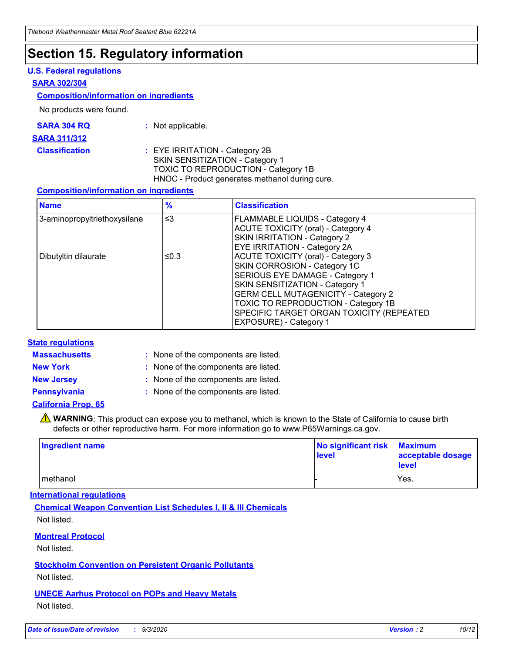## **Section 15. Regulatory information**

#### **U.S. Federal regulations**

#### **SARA 302/304**

#### **Composition/information on ingredients**

No products were found.

| SARA 304 RQ | Not applicable. |
|-------------|-----------------|
|-------------|-----------------|

#### **SARA 311/312**

#### **Classification :** EYE IRRITATION - Category 2B SKIN SENSITIZATION - Category 1 TOXIC TO REPRODUCTION - Category 1B HNOC - Product generates methanol during cure.

#### **Composition/information on ingredients**

| <b>Name</b>                  | $\frac{9}{6}$ | <b>Classification</b>                                                                                                                                                                                                                                                                                      |
|------------------------------|---------------|------------------------------------------------------------------------------------------------------------------------------------------------------------------------------------------------------------------------------------------------------------------------------------------------------------|
| 3-aminopropyltriethoxysilane | $\leq$ 3      | <b>FLAMMABLE LIQUIDS - Category 4</b><br><b>ACUTE TOXICITY (oral) - Category 4</b><br><b>SKIN IRRITATION - Category 2</b><br>EYE IRRITATION - Category 2A                                                                                                                                                  |
| Dibutyltin dilaurate         | ≤0.3          | <b>ACUTE TOXICITY (oral) - Category 3</b><br>SKIN CORROSION - Category 1C<br>SERIOUS EYE DAMAGE - Category 1<br>SKIN SENSITIZATION - Category 1<br><b>GERM CELL MUTAGENICITY - Category 2</b><br>TOXIC TO REPRODUCTION - Category 1B<br>SPECIFIC TARGET ORGAN TOXICITY (REPEATED<br>EXPOSURE) - Category 1 |

#### **State regulations**

**Massachusetts :**

: None of the components are listed.

**New York :** None of the components are listed. **New Jersey :** None of the components are listed.

**Pennsylvania :** None of the components are listed.

#### **California Prop. 65**

WARNING: This product can expose you to methanol, which is known to the State of California to cause birth defects or other reproductive harm. For more information go to www.P65Warnings.ca.gov.

| Ingredient name | No significant risk<br>level | <b>Maximum</b><br>acceptable dosage<br><b>level</b> |
|-----------------|------------------------------|-----------------------------------------------------|
| methanol        |                              | Yes.                                                |

#### **International regulations**

**Chemical Weapon Convention List Schedules I, II & III Chemicals** Not listed.

#### **Montreal Protocol**

Not listed.

**Stockholm Convention on Persistent Organic Pollutants**

Not listed.

#### **UNECE Aarhus Protocol on POPs and Heavy Metals** Not listed.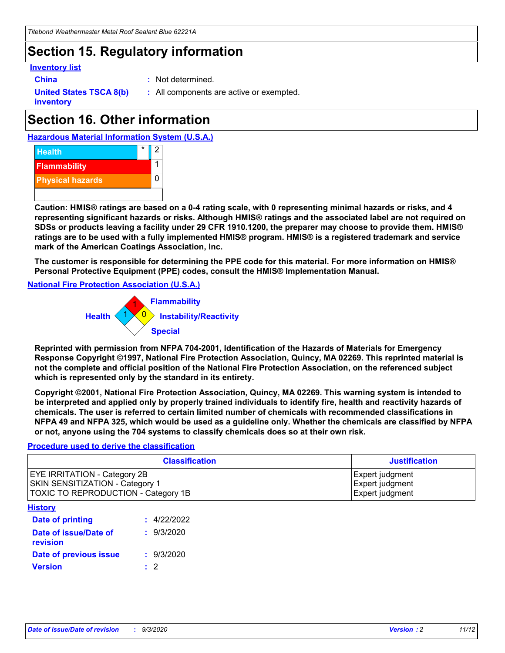## **Section 15. Regulatory information**

#### **Inventory list**

- 
- **China :** Not determined.

**United States TSCA 8(b) inventory**

**:** All components are active or exempted.

## **Section 16. Other information**





**Caution: HMIS® ratings are based on a 0-4 rating scale, with 0 representing minimal hazards or risks, and 4 representing significant hazards or risks. Although HMIS® ratings and the associated label are not required on SDSs or products leaving a facility under 29 CFR 1910.1200, the preparer may choose to provide them. HMIS® ratings are to be used with a fully implemented HMIS® program. HMIS® is a registered trademark and service mark of the American Coatings Association, Inc.**

**The customer is responsible for determining the PPE code for this material. For more information on HMIS® Personal Protective Equipment (PPE) codes, consult the HMIS® Implementation Manual.**

**National Fire Protection Association (U.S.A.)**



**Reprinted with permission from NFPA 704-2001, Identification of the Hazards of Materials for Emergency Response Copyright ©1997, National Fire Protection Association, Quincy, MA 02269. This reprinted material is not the complete and official position of the National Fire Protection Association, on the referenced subject which is represented only by the standard in its entirety.**

**Copyright ©2001, National Fire Protection Association, Quincy, MA 02269. This warning system is intended to be interpreted and applied only by properly trained individuals to identify fire, health and reactivity hazards of chemicals. The user is referred to certain limited number of chemicals with recommended classifications in NFPA 49 and NFPA 325, which would be used as a guideline only. Whether the chemicals are classified by NFPA or not, anyone using the 704 systems to classify chemicals does so at their own risk.**

#### **Procedure used to derive the classification**

| <b>Classification</b>                                                                                         | <b>Justification</b>                                  |
|---------------------------------------------------------------------------------------------------------------|-------------------------------------------------------|
| <b>EYE IRRITATION - Category 2B</b><br>SKIN SENSITIZATION - Category 1<br>TOXIC TO REPRODUCTION - Category 1B | Expert judgment<br>Expert judgment<br>Expert judgment |
| <b>History</b>                                                                                                |                                                       |

| .                                 |             |
|-----------------------------------|-------------|
| <b>Date of printing</b>           | : 4/22/2022 |
| Date of issue/Date of<br>revision | : 9/3/2020  |
| Date of previous issue            | : 9/3/2020  |
| <b>Version</b>                    | $\cdot$ 2   |
|                                   |             |